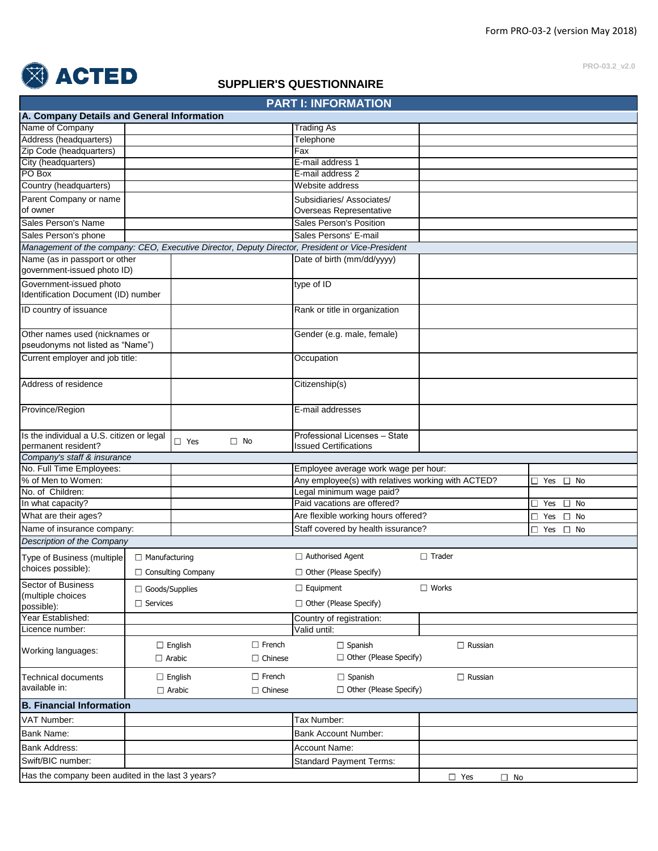**PRO-03.2\_v2.0**



## **SUPPLIER'S QUESTIONNAIRE**

|                                                                                |                       |                                 |                                      | <b>PART I: INFORMATION</b>                                                                       |                         |                            |  |
|--------------------------------------------------------------------------------|-----------------------|---------------------------------|--------------------------------------|--------------------------------------------------------------------------------------------------|-------------------------|----------------------------|--|
| A. Company Details and General Information                                     |                       |                                 |                                      |                                                                                                  |                         |                            |  |
| Name of Company                                                                |                       |                                 |                                      | <b>Trading As</b>                                                                                |                         |                            |  |
| Address (headquarters)                                                         |                       |                                 |                                      | Telephone                                                                                        |                         |                            |  |
| Zip Code (headquarters)                                                        |                       |                                 |                                      | Fax                                                                                              |                         |                            |  |
| City (headquarters)                                                            |                       |                                 |                                      | E-mail address 1                                                                                 |                         |                            |  |
| PO Box                                                                         |                       |                                 |                                      | E-mail address 2                                                                                 |                         |                            |  |
| Country (headquarters)                                                         |                       |                                 |                                      | Website address                                                                                  |                         |                            |  |
| Parent Company or name                                                         |                       |                                 |                                      | Subsidiaries/Associates/                                                                         |                         |                            |  |
| of owner                                                                       |                       |                                 |                                      | Overseas Representative                                                                          |                         |                            |  |
| Sales Person's Name                                                            |                       |                                 |                                      | Sales Person's Position                                                                          |                         |                            |  |
| Sales Person's phone                                                           |                       |                                 |                                      | Sales Persons' E-mail                                                                            |                         |                            |  |
|                                                                                |                       |                                 |                                      | Management of the company: CEO, Executive Director, Deputy Director, President or Vice-President |                         |                            |  |
| Name (as in passport or other<br>government-issued photo ID)                   |                       |                                 |                                      | Date of birth (mm/dd/yyyy)                                                                       |                         |                            |  |
| Government-issued photo<br>Identification Document (ID) number                 |                       |                                 |                                      | type of ID                                                                                       |                         |                            |  |
| ID country of issuance                                                         |                       |                                 |                                      | Rank or title in organization                                                                    |                         |                            |  |
| Other names used (nicknames or<br>pseudonyms not listed as "Name")             |                       |                                 |                                      | Gender (e.g. male, female)                                                                       |                         |                            |  |
| Current employer and job title:                                                |                       |                                 |                                      | Occupation                                                                                       |                         |                            |  |
| Address of residence                                                           |                       |                                 |                                      | Citizenship(s)                                                                                   |                         |                            |  |
| Province/Region                                                                |                       |                                 |                                      | E-mail addresses                                                                                 |                         |                            |  |
| Is the individual a U.S. citizen or legal<br>$\Box$ Yes<br>permanent resident? |                       |                                 | $\square$ No                         | Professional Licenses - State<br><b>Issued Certifications</b>                                    |                         |                            |  |
| Company's staff & insurance                                                    |                       |                                 |                                      |                                                                                                  |                         |                            |  |
| No. Full Time Employees:                                                       |                       |                                 | Employee average work wage per hour: |                                                                                                  |                         |                            |  |
| % of Men to Women:                                                             |                       |                                 |                                      | Any employee(s) with relatives working with ACTED?                                               |                         | Yes $\square$ No<br>O.     |  |
| No. of Children:                                                               |                       |                                 |                                      | Legal minimum wage paid?                                                                         |                         |                            |  |
| In what capacity?                                                              |                       |                                 |                                      | Paid vacations are offered?                                                                      |                         | $\square$ No<br>Yes<br>O.  |  |
| What are their ages?                                                           |                       |                                 |                                      | Are flexible working hours offered?                                                              |                         | $\Box$ No<br>$\square$ Yes |  |
| Name of insurance company:                                                     |                       |                                 |                                      | Staff covered by health issurance?                                                               |                         | $\Box$ Yes $\Box$ No       |  |
| Description of the Company                                                     |                       |                                 |                                      |                                                                                                  |                         |                            |  |
| Type of Business (multiple                                                     | $\Box$ Manufacturing  |                                 |                                      | $\Box$ Authorised Agent                                                                          | $\Box$ Trader           |                            |  |
| choices possible):                                                             |                       | $\Box$ Consulting Company       |                                      | $\Box$ Other (Please Specify)                                                                    |                         |                            |  |
| Sector of Business                                                             | $\Box$ Goods/Supplies |                                 |                                      | $\Box$ Equipment                                                                                 | $\Box$ Works            |                            |  |
| (multiple choices                                                              | $\Box$ Services       |                                 |                                      | □ Other (Please Specify)                                                                         |                         |                            |  |
| possible):                                                                     |                       |                                 |                                      |                                                                                                  |                         |                            |  |
| Year Established:                                                              |                       |                                 |                                      | Country of registration:                                                                         |                         |                            |  |
| Licence number:                                                                |                       |                                 |                                      | Valid until:                                                                                     |                         |                            |  |
| Working languages:                                                             |                       | $\Box$ English<br>$\Box$ Arabic | $\Box$ French<br>$\Box$ Chinese      | $\Box$ Spanish<br>$\Box$ Other (Please Specify)                                                  | $\Box$ Russian          |                            |  |
| <b>Technical documents</b>                                                     |                       | $\Box$ English                  | $\Box$ French                        | $\Box$ Spanish                                                                                   | $\Box$ Russian          |                            |  |
| available in:<br>$\Box$ Arabic<br>$\Box$ Chinese                               |                       | $\Box$ Other (Please Specify)   |                                      |                                                                                                  |                         |                            |  |
| <b>B. Financial Information</b>                                                |                       |                                 |                                      |                                                                                                  |                         |                            |  |
| VAT Number:                                                                    |                       |                                 |                                      | Tax Number:                                                                                      |                         |                            |  |
| <b>Bank Name:</b>                                                              |                       |                                 |                                      | <b>Bank Account Number:</b>                                                                      |                         |                            |  |
| <b>Bank Address:</b>                                                           |                       |                                 |                                      | Account Name:                                                                                    |                         |                            |  |
| Swift/BIC number:                                                              |                       |                                 |                                      | <b>Standard Payment Terms:</b>                                                                   |                         |                            |  |
|                                                                                |                       |                                 |                                      |                                                                                                  |                         |                            |  |
| Has the company been audited in the last 3 years?                              |                       |                                 |                                      |                                                                                                  | $\Box$ Yes<br>$\Box$ No |                            |  |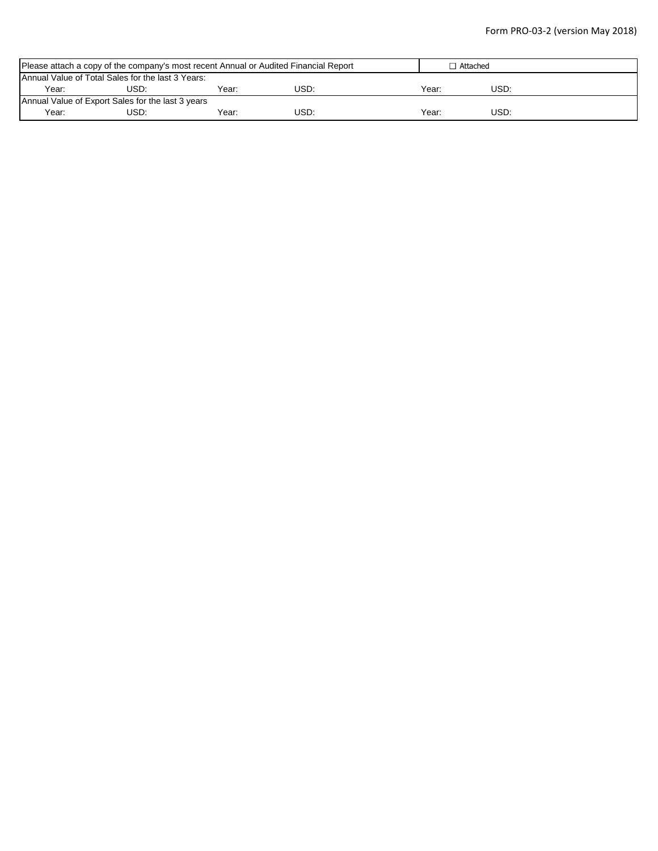| Please attach a copy of the company's most recent Annual or Audited Financial Report |                                                   |       | $\Box$ Attached |       |      |  |  |  |
|--------------------------------------------------------------------------------------|---------------------------------------------------|-------|-----------------|-------|------|--|--|--|
|                                                                                      | Annual Value of Total Sales for the last 3 Years: |       |                 |       |      |  |  |  |
| Year:                                                                                | USD:                                              | Year: | USD:            | Year: | USD: |  |  |  |
| Annual Value of Export Sales for the last 3 years                                    |                                                   |       |                 |       |      |  |  |  |
| Year:                                                                                | USD.                                              | Year: | USD:            | Year: | USD: |  |  |  |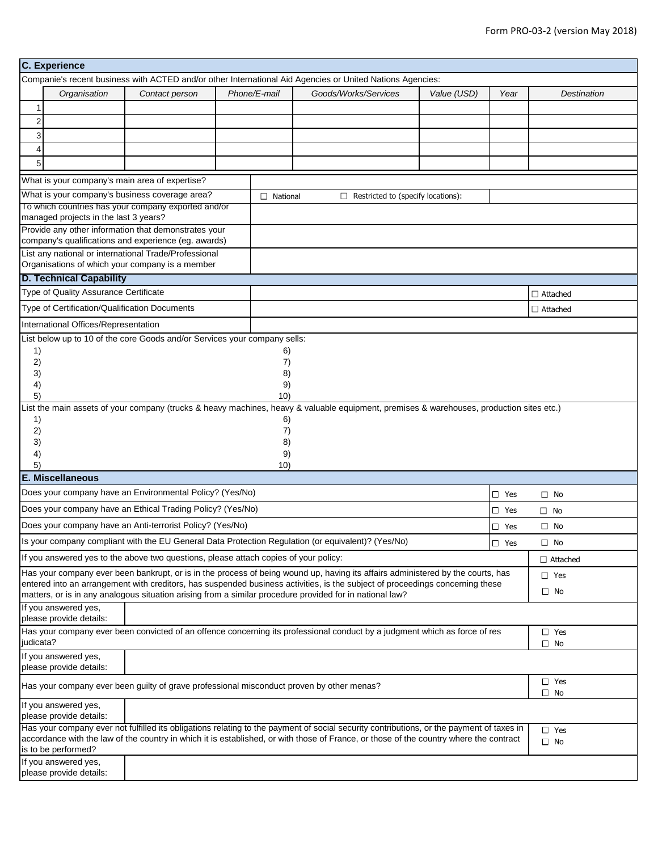|                | <b>C.</b> Experience                                                                       |                                                                                                              |  |                 |                                                                                                                                                                                                                                                                                    |                            |               |                            |  |
|----------------|--------------------------------------------------------------------------------------------|--------------------------------------------------------------------------------------------------------------|--|-----------------|------------------------------------------------------------------------------------------------------------------------------------------------------------------------------------------------------------------------------------------------------------------------------------|----------------------------|---------------|----------------------------|--|
|                |                                                                                            |                                                                                                              |  |                 | Companie's recent business with ACTED and/or other International Aid Agencies or United Nations Agencies:                                                                                                                                                                          |                            |               |                            |  |
|                | Organisation                                                                               | Contact person                                                                                               |  | Phone/E-mail    | Goods/Works/Services<br>Value (USD)                                                                                                                                                                                                                                                |                            | Year          | Destination                |  |
| $\mathbf{1}$   |                                                                                            |                                                                                                              |  |                 |                                                                                                                                                                                                                                                                                    |                            |               |                            |  |
| $\overline{c}$ |                                                                                            |                                                                                                              |  |                 |                                                                                                                                                                                                                                                                                    |                            |               |                            |  |
| 3              |                                                                                            |                                                                                                              |  |                 |                                                                                                                                                                                                                                                                                    |                            |               |                            |  |
| $\overline{4}$ |                                                                                            |                                                                                                              |  |                 |                                                                                                                                                                                                                                                                                    |                            |               |                            |  |
| 5              |                                                                                            |                                                                                                              |  |                 |                                                                                                                                                                                                                                                                                    |                            |               |                            |  |
|                |                                                                                            | What is your company's main area of expertise?                                                               |  |                 |                                                                                                                                                                                                                                                                                    |                            |               |                            |  |
|                |                                                                                            | What is your company's business coverage area?                                                               |  | $\Box$ National | $\Box$ Restricted to (specify locations):                                                                                                                                                                                                                                          |                            |               |                            |  |
|                | managed projects in the last 3 years?                                                      | To which countries has your company exported and/or                                                          |  |                 |                                                                                                                                                                                                                                                                                    |                            |               |                            |  |
|                |                                                                                            | Provide any other information that demonstrates your<br>company's qualifications and experience (eg. awards) |  |                 |                                                                                                                                                                                                                                                                                    |                            |               |                            |  |
|                |                                                                                            | List any national or international Trade/Professional<br>Organisations of which your company is a member     |  |                 |                                                                                                                                                                                                                                                                                    |                            |               |                            |  |
|                | <b>D. Technical Capability</b>                                                             |                                                                                                              |  |                 |                                                                                                                                                                                                                                                                                    |                            |               |                            |  |
|                | Type of Quality Assurance Certificate                                                      |                                                                                                              |  |                 |                                                                                                                                                                                                                                                                                    |                            |               | $\Box$ Attached            |  |
|                | Type of Certification/Qualification Documents                                              |                                                                                                              |  |                 |                                                                                                                                                                                                                                                                                    |                            |               | $\Box$ Attached            |  |
|                | International Offices/Representation                                                       |                                                                                                              |  |                 |                                                                                                                                                                                                                                                                                    |                            |               |                            |  |
| 1)             |                                                                                            | List below up to 10 of the core Goods and/or Services your company sells:                                    |  | 6)              |                                                                                                                                                                                                                                                                                    |                            |               |                            |  |
| 2)<br>3)       |                                                                                            |                                                                                                              |  | 7)<br>8)        |                                                                                                                                                                                                                                                                                    |                            |               |                            |  |
| 4)             |                                                                                            |                                                                                                              |  | 9)              |                                                                                                                                                                                                                                                                                    |                            |               |                            |  |
| 5)             |                                                                                            |                                                                                                              |  | 10)             |                                                                                                                                                                                                                                                                                    |                            |               |                            |  |
|                |                                                                                            |                                                                                                              |  |                 | List the main assets of your company (trucks & heavy machines, heavy & valuable equipment, premises & warehouses, production sites etc.)                                                                                                                                           |                            |               |                            |  |
| 1)<br>2)       |                                                                                            | 6)<br>7)                                                                                                     |  |                 |                                                                                                                                                                                                                                                                                    |                            |               |                            |  |
| 3)             |                                                                                            |                                                                                                              |  | 8)              |                                                                                                                                                                                                                                                                                    |                            |               |                            |  |
| 4)             |                                                                                            |                                                                                                              |  | 9)              |                                                                                                                                                                                                                                                                                    |                            |               |                            |  |
| 5)             |                                                                                            |                                                                                                              |  | 10)             |                                                                                                                                                                                                                                                                                    |                            |               |                            |  |
|                | E. Miscellaneous<br>Does your company have an Environmental Policy? (Yes/No)<br>$\Box$ Yes |                                                                                                              |  |                 |                                                                                                                                                                                                                                                                                    |                            |               |                            |  |
|                |                                                                                            | Does your company have an Ethical Trading Policy? (Yes/No)                                                   |  |                 |                                                                                                                                                                                                                                                                                    |                            |               | $\Box$ No                  |  |
|                |                                                                                            |                                                                                                              |  |                 |                                                                                                                                                                                                                                                                                    | $\Box$ Yes<br>$\square$ No |               |                            |  |
|                |                                                                                            | Does your company have an Anti-terrorist Policy? (Yes/No)                                                    |  |                 |                                                                                                                                                                                                                                                                                    |                            | $\square$ Yes | $\Box$ No                  |  |
|                |                                                                                            |                                                                                                              |  |                 | Is your company compliant with the EU General Data Protection Regulation (or equivalent)? (Yes/No)                                                                                                                                                                                 |                            | $\Box$ Yes    | $\square$ No               |  |
|                |                                                                                            | If you answered yes to the above two questions, please attach copies of your policy:                         |  |                 |                                                                                                                                                                                                                                                                                    |                            |               | $\Box$ Attached            |  |
|                |                                                                                            |                                                                                                              |  |                 | Has your company ever been bankrupt, or is in the process of being wound up, having its affairs administered by the courts, has<br>entered into an arrangement with creditors, has suspended business activities, is the subject of proceedings concerning these                   |                            |               | $\Box$ Yes<br>$\square$ No |  |
|                | If you answered yes,                                                                       |                                                                                                              |  |                 | matters, or is in any analogous situation arising from a similar procedure provided for in national law?                                                                                                                                                                           |                            |               |                            |  |
|                | please provide details:                                                                    |                                                                                                              |  |                 |                                                                                                                                                                                                                                                                                    |                            |               |                            |  |
| judicata?      |                                                                                            |                                                                                                              |  |                 | Has your company ever been convicted of an offence concerning its professional conduct by a judgment which as force of res                                                                                                                                                         |                            |               | $\Box$ Yes<br>$\Box$ No    |  |
|                | If you answered yes,<br>please provide details:                                            |                                                                                                              |  |                 |                                                                                                                                                                                                                                                                                    |                            |               |                            |  |
|                |                                                                                            | Has your company ever been guilty of grave professional misconduct proven by other menas?                    |  |                 |                                                                                                                                                                                                                                                                                    |                            |               | $\Box$ Yes<br>$\Box$ No    |  |
|                | If you answered yes,<br>please provide details:                                            |                                                                                                              |  |                 |                                                                                                                                                                                                                                                                                    |                            |               |                            |  |
|                | is to be performed?                                                                        |                                                                                                              |  |                 | Has your company ever not fulfilled its obligations relating to the payment of social security contributions, or the payment of taxes in<br>accordance with the law of the country in which it is established, or with those of France, or those of the country where the contract |                            |               | $\Box$ Yes<br>$\Box$ No    |  |
|                | If you answered yes,<br>please provide details:                                            |                                                                                                              |  |                 |                                                                                                                                                                                                                                                                                    |                            |               |                            |  |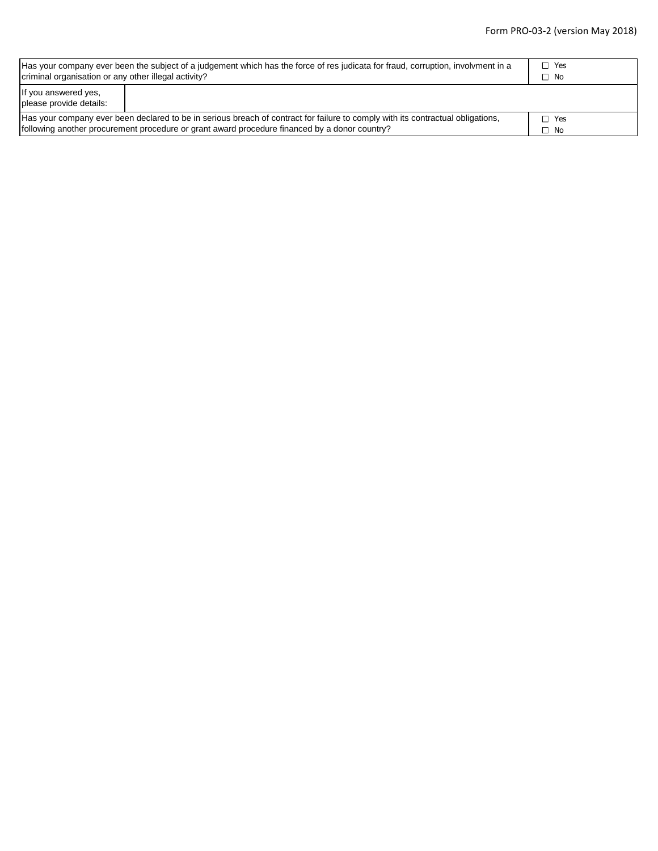| Has your company ever been the subject of a judgement which has the force of res judicata for fraud, corruption, involvment in a | □ Yes        |  |  |  |  |  |
|----------------------------------------------------------------------------------------------------------------------------------|--------------|--|--|--|--|--|
| criminal organisation or any other illegal activity?                                                                             | $\square$ No |  |  |  |  |  |
| If you answered yes,<br>please provide details:                                                                                  |              |  |  |  |  |  |
| Has your company ever been declared to be in serious breach of contract for failure to comply with its contractual obligations,  | □ Yes        |  |  |  |  |  |
| following another procurement procedure or grant award procedure financed by a donor country?                                    | ⊐ No         |  |  |  |  |  |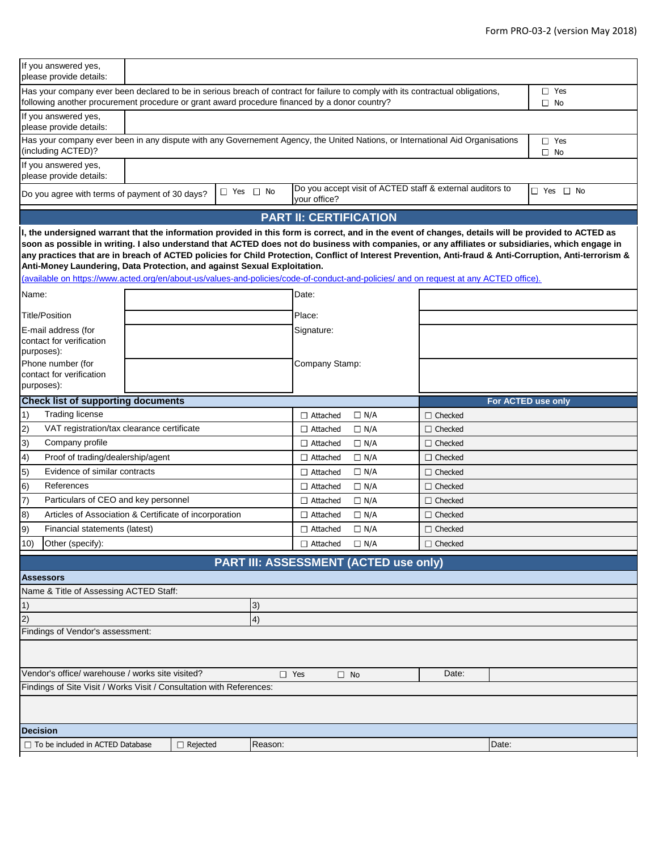|                                                                                                                                                                                                                                  | If you answered yes,<br>please provide details:                                                                                                                                                                    |  |                 |                      |            |                               |                                              |                                                           |       |                                                                                                                                                                                                                                                                                                                                                                                                                                                                      |  |
|----------------------------------------------------------------------------------------------------------------------------------------------------------------------------------------------------------------------------------|--------------------------------------------------------------------------------------------------------------------------------------------------------------------------------------------------------------------|--|-----------------|----------------------|------------|-------------------------------|----------------------------------------------|-----------------------------------------------------------|-------|----------------------------------------------------------------------------------------------------------------------------------------------------------------------------------------------------------------------------------------------------------------------------------------------------------------------------------------------------------------------------------------------------------------------------------------------------------------------|--|
| Has your company ever been declared to be in serious breach of contract for failure to comply with its contractual obligations,<br>following another procurement procedure or grant award procedure financed by a donor country? |                                                                                                                                                                                                                    |  |                 |                      |            |                               |                                              | $\Box$ Yes<br>$\square$ No                                |       |                                                                                                                                                                                                                                                                                                                                                                                                                                                                      |  |
|                                                                                                                                                                                                                                  | If you answered yes,<br>please provide details:                                                                                                                                                                    |  |                 |                      |            |                               |                                              |                                                           |       |                                                                                                                                                                                                                                                                                                                                                                                                                                                                      |  |
|                                                                                                                                                                                                                                  | Has your company ever been in any dispute with any Governement Agency, the United Nations, or International Aid Organisations<br>(including ACTED)?                                                                |  |                 |                      |            |                               |                                              |                                                           |       | $\square$ Yes<br>$\Box$ No                                                                                                                                                                                                                                                                                                                                                                                                                                           |  |
|                                                                                                                                                                                                                                  | If you answered yes,<br>please provide details:                                                                                                                                                                    |  |                 |                      |            |                               |                                              |                                                           |       |                                                                                                                                                                                                                                                                                                                                                                                                                                                                      |  |
|                                                                                                                                                                                                                                  | Do you agree with terms of payment of 30 days?                                                                                                                                                                     |  |                 | $\Box$ Yes $\Box$ No |            | your office?                  |                                              | Do you accept visit of ACTED staff & external auditors to |       | $\Box$ Yes $\Box$ No                                                                                                                                                                                                                                                                                                                                                                                                                                                 |  |
|                                                                                                                                                                                                                                  |                                                                                                                                                                                                                    |  |                 |                      |            | <b>PART II: CERTIFICATION</b> |                                              |                                                           |       |                                                                                                                                                                                                                                                                                                                                                                                                                                                                      |  |
|                                                                                                                                                                                                                                  | Anti-Money Laundering, Data Protection, and against Sexual Exploitation.<br>(available on https://www.acted.org/en/about-us/values-and-policies/code-of-conduct-and-policies/ and on request at any ACTED office). |  |                 |                      |            |                               |                                              |                                                           |       | I, the undersigned warrant that the information provided in this form is correct, and in the event of changes, details will be provided to ACTED as<br>soon as possible in writing. I also understand that ACTED does not do business with companies, or any affiliates or subsidiaries, which engage in<br>any practices that are in breach of ACTED policies for Child Protection, Conflict of Interest Prevention, Anti-fraud & Anti-Corruption, Anti-terrorism & |  |
| Name:                                                                                                                                                                                                                            |                                                                                                                                                                                                                    |  |                 |                      |            | Date:                         |                                              |                                                           |       |                                                                                                                                                                                                                                                                                                                                                                                                                                                                      |  |
|                                                                                                                                                                                                                                  | <b>Title/Position</b>                                                                                                                                                                                              |  |                 |                      |            | Place:                        |                                              |                                                           |       |                                                                                                                                                                                                                                                                                                                                                                                                                                                                      |  |
|                                                                                                                                                                                                                                  | E-mail address (for                                                                                                                                                                                                |  |                 |                      |            | Signature:                    |                                              |                                                           |       |                                                                                                                                                                                                                                                                                                                                                                                                                                                                      |  |
|                                                                                                                                                                                                                                  | contact for verification                                                                                                                                                                                           |  |                 |                      |            |                               |                                              |                                                           |       |                                                                                                                                                                                                                                                                                                                                                                                                                                                                      |  |
|                                                                                                                                                                                                                                  | purposes):<br>Phone number (for                                                                                                                                                                                    |  |                 |                      |            | Company Stamp:                |                                              |                                                           |       |                                                                                                                                                                                                                                                                                                                                                                                                                                                                      |  |
|                                                                                                                                                                                                                                  | contact for verification                                                                                                                                                                                           |  |                 |                      |            |                               |                                              |                                                           |       |                                                                                                                                                                                                                                                                                                                                                                                                                                                                      |  |
|                                                                                                                                                                                                                                  | purposes):                                                                                                                                                                                                         |  |                 |                      |            |                               |                                              |                                                           |       |                                                                                                                                                                                                                                                                                                                                                                                                                                                                      |  |
|                                                                                                                                                                                                                                  | <b>Check list of supporting documents</b>                                                                                                                                                                          |  |                 |                      |            |                               |                                              |                                                           |       | For ACTED use only                                                                                                                                                                                                                                                                                                                                                                                                                                                   |  |
| $\vert$ 1)                                                                                                                                                                                                                       | <b>Trading license</b>                                                                                                                                                                                             |  |                 |                      |            | $\Box$ Attached               | $\Box$ N/A                                   | $\Box$ Checked                                            |       |                                                                                                                                                                                                                                                                                                                                                                                                                                                                      |  |
| 2)<br>VAT registration/tax clearance certificate                                                                                                                                                                                 |                                                                                                                                                                                                                    |  |                 | $\Box$ Attached      | $\Box$ N/A | $\Box$ Checked                |                                              |                                                           |       |                                                                                                                                                                                                                                                                                                                                                                                                                                                                      |  |
| Company profile<br> 3)                                                                                                                                                                                                           |                                                                                                                                                                                                                    |  |                 | $\Box$ Attached      | $\Box$ N/A | $\Box$ Checked                |                                              |                                                           |       |                                                                                                                                                                                                                                                                                                                                                                                                                                                                      |  |
| 4)                                                                                                                                                                                                                               | Proof of trading/dealership/agent                                                                                                                                                                                  |  |                 |                      |            | $\Box$ Attached               | $\Box$ N/A                                   | $\Box$ Checked                                            |       |                                                                                                                                                                                                                                                                                                                                                                                                                                                                      |  |
| $\vert 5)$                                                                                                                                                                                                                       | Evidence of similar contracts                                                                                                                                                                                      |  |                 |                      |            | $\Box$ Attached               | $\Box$ N/A                                   | $\Box$ Checked                                            |       |                                                                                                                                                                                                                                                                                                                                                                                                                                                                      |  |
| 6)                                                                                                                                                                                                                               | References                                                                                                                                                                                                         |  |                 |                      |            | $\Box$ Attached               | $\Box$ N/A                                   | $\Box$ Checked                                            |       |                                                                                                                                                                                                                                                                                                                                                                                                                                                                      |  |
| (7)                                                                                                                                                                                                                              | Particulars of CEO and key personnel                                                                                                                                                                               |  |                 |                      |            | $\Box$ Attached               | $\Box N/A$                                   | $\Box$ Checked                                            |       |                                                                                                                                                                                                                                                                                                                                                                                                                                                                      |  |
| 8)                                                                                                                                                                                                                               | Articles of Association & Certificate of incorporation                                                                                                                                                             |  |                 |                      |            | $\Box$ Attached               | $\Box$ N/A                                   | $\Box$ Checked                                            |       |                                                                                                                                                                                                                                                                                                                                                                                                                                                                      |  |
| 9)                                                                                                                                                                                                                               | Financial statements (latest)                                                                                                                                                                                      |  |                 |                      |            | $\Box$ Attached               | $\Box$ N/A                                   | $\Box$ Checked                                            |       |                                                                                                                                                                                                                                                                                                                                                                                                                                                                      |  |
| 10)                                                                                                                                                                                                                              | Other (specify):                                                                                                                                                                                                   |  |                 |                      |            | $\Box$ Attached               | $\Box$ N/A                                   | $\Box$ Checked                                            |       |                                                                                                                                                                                                                                                                                                                                                                                                                                                                      |  |
|                                                                                                                                                                                                                                  |                                                                                                                                                                                                                    |  |                 |                      |            |                               | <b>PART III: ASSESSMENT (ACTED use only)</b> |                                                           |       |                                                                                                                                                                                                                                                                                                                                                                                                                                                                      |  |
|                                                                                                                                                                                                                                  | <b>Assessors</b>                                                                                                                                                                                                   |  |                 |                      |            |                               |                                              |                                                           |       |                                                                                                                                                                                                                                                                                                                                                                                                                                                                      |  |
|                                                                                                                                                                                                                                  | Name & Title of Assessing ACTED Staff:                                                                                                                                                                             |  |                 |                      |            |                               |                                              |                                                           |       |                                                                                                                                                                                                                                                                                                                                                                                                                                                                      |  |
| 1)                                                                                                                                                                                                                               | 3)                                                                                                                                                                                                                 |  |                 |                      |            |                               |                                              |                                                           |       |                                                                                                                                                                                                                                                                                                                                                                                                                                                                      |  |
| $\overline{2}$                                                                                                                                                                                                                   | 4)                                                                                                                                                                                                                 |  |                 |                      |            |                               |                                              |                                                           |       |                                                                                                                                                                                                                                                                                                                                                                                                                                                                      |  |
|                                                                                                                                                                                                                                  | Findings of Vendor's assessment:                                                                                                                                                                                   |  |                 |                      |            |                               |                                              |                                                           |       |                                                                                                                                                                                                                                                                                                                                                                                                                                                                      |  |
|                                                                                                                                                                                                                                  |                                                                                                                                                                                                                    |  |                 |                      |            |                               |                                              |                                                           |       |                                                                                                                                                                                                                                                                                                                                                                                                                                                                      |  |
|                                                                                                                                                                                                                                  | Vendor's office/ warehouse / works site visited?<br>Date:<br>$\Box$ Yes<br>$\Box$ No                                                                                                                               |  |                 |                      |            |                               |                                              |                                                           |       |                                                                                                                                                                                                                                                                                                                                                                                                                                                                      |  |
|                                                                                                                                                                                                                                  | Findings of Site Visit / Works Visit / Consultation with References:                                                                                                                                               |  |                 |                      |            |                               |                                              |                                                           |       |                                                                                                                                                                                                                                                                                                                                                                                                                                                                      |  |
|                                                                                                                                                                                                                                  |                                                                                                                                                                                                                    |  |                 |                      |            |                               |                                              |                                                           |       |                                                                                                                                                                                                                                                                                                                                                                                                                                                                      |  |
| <b>Decision</b>                                                                                                                                                                                                                  |                                                                                                                                                                                                                    |  |                 |                      |            |                               |                                              |                                                           |       |                                                                                                                                                                                                                                                                                                                                                                                                                                                                      |  |
|                                                                                                                                                                                                                                  | $\Box$ To be included in ACTED Database                                                                                                                                                                            |  | $\Box$ Rejected |                      | Reason:    |                               |                                              |                                                           | Date: |                                                                                                                                                                                                                                                                                                                                                                                                                                                                      |  |
|                                                                                                                                                                                                                                  |                                                                                                                                                                                                                    |  |                 |                      |            |                               |                                              |                                                           |       |                                                                                                                                                                                                                                                                                                                                                                                                                                                                      |  |